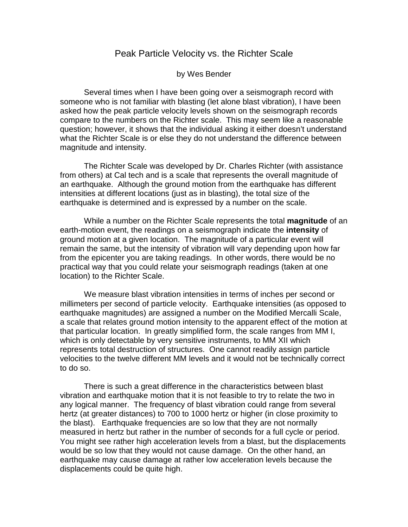## Peak Particle Velocity vs. the Richter Scale

## by Wes Bender

Several times when I have been going over a seismograph record with someone who is not familiar with blasting (let alone blast vibration), I have been asked how the peak particle velocity levels shown on the seismograph records compare to the numbers on the Richter scale. This may seem like a reasonable question; however, it shows that the individual asking it either doesn't understand what the Richter Scale is or else they do not understand the difference between magnitude and intensity.

The Richter Scale was developed by Dr. Charles Richter (with assistance from others) at Cal tech and is a scale that represents the overall magnitude of an earthquake. Although the ground motion from the earthquake has different intensities at different locations (just as in blasting), the total size of the earthquake is determined and is expressed by a number on the scale.

While a number on the Richter Scale represents the total **magnitude** of an earth-motion event, the readings on a seismograph indicate the **intensity** of ground motion at a given location. The magnitude of a particular event will remain the same, but the intensity of vibration will vary depending upon how far from the epicenter you are taking readings. In other words, there would be no practical way that you could relate your seismograph readings (taken at one location) to the Richter Scale.

We measure blast vibration intensities in terms of inches per second or millimeters per second of particle velocity. Earthquake intensities (as opposed to earthquake magnitudes) are assigned a number on the Modified Mercalli Scale, a scale that relates ground motion intensity to the apparent effect of the motion at that particular location. In greatly simplified form, the scale ranges from MM I, which is only detectable by very sensitive instruments, to MM XII which represents total destruction of structures. One cannot readily assign particle velocities to the twelve different MM levels and it would not be technically correct to do so.

There is such a great difference in the characteristics between blast vibration and earthquake motion that it is not feasible to try to relate the two in any logical manner. The frequency of blast vibration could range from several hertz (at greater distances) to 700 to 1000 hertz or higher (in close proximity to the blast). Earthquake frequencies are so low that they are not normally measured in hertz but rather in the number of seconds for a full cycle or period. You might see rather high acceleration levels from a blast, but the displacements would be so low that they would not cause damage. On the other hand, an earthquake may cause damage at rather low acceleration levels because the displacements could be quite high.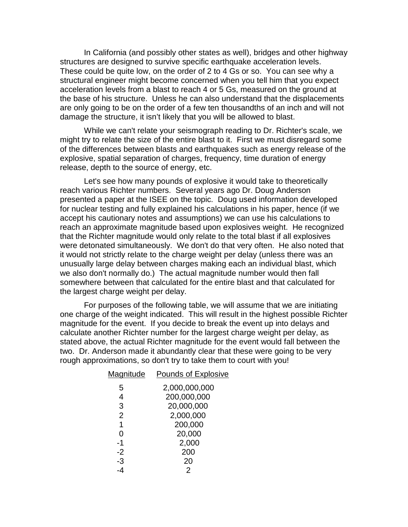In California (and possibly other states as well), bridges and other highway structures are designed to survive specific earthquake acceleration levels. These could be quite low, on the order of 2 to 4 Gs or so. You can see why a structural engineer might become concerned when you tell him that you expect acceleration levels from a blast to reach 4 or 5 Gs, measured on the ground at the base of his structure. Unless he can also understand that the displacements are only going to be on the order of a few ten thousandths of an inch and will not damage the structure, it isn't likely that you will be allowed to blast.

While we can't relate your seismograph reading to Dr. Richter's scale, we might try to relate the size of the entire blast to it. First we must disregard some of the differences between blasts and earthquakes such as energy release of the explosive, spatial separation of charges, frequency, time duration of energy release, depth to the source of energy, etc.

Let's see how many pounds of explosive it would take to theoretically reach various Richter numbers. Several years ago Dr. Doug Anderson presented a paper at the ISEE on the topic. Doug used information developed for nuclear testing and fully explained his calculations in his paper, hence (if we accept his cautionary notes and assumptions) we can use his calculations to reach an approximate magnitude based upon explosives weight. He recognized that the Richter magnitude would only relate to the total blast if all explosives were detonated simultaneously. We don't do that very often. He also noted that it would not strictly relate to the charge weight per delay (unless there was an unusually large delay between charges making each an individual blast, which we also don't normally do.) The actual magnitude number would then fall somewhere between that calculated for the entire blast and that calculated for the largest charge weight per delay.

For purposes of the following table, we will assume that we are initiating one charge of the weight indicated. This will result in the highest possible Richter magnitude for the event. If you decide to break the event up into delays and calculate another Richter number for the largest charge weight per delay, as stated above, the actual Richter magnitude for the event would fall between the two. Dr. Anderson made it abundantly clear that these were going to be very rough approximations, so don't try to take them to court with you!

| Magnitude      | <b>Pounds of Explosive</b> |
|----------------|----------------------------|
| 5              | 2,000,000,000              |
| 4              | 200,000,000                |
| 3              | 20,000,000                 |
| $\overline{2}$ | 2,000,000                  |
| 1              | 200,000                    |
| 0              | 20,000                     |
| -1             | 2,000                      |
| $-2$           | 200                        |
| -3             | 20                         |
| -4             | 2                          |